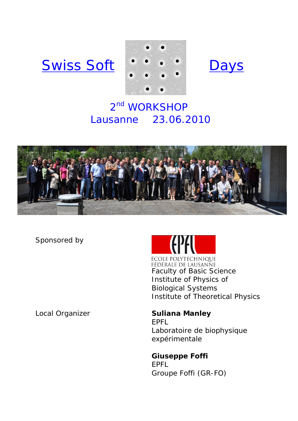# Swiss Soft \*\*\*\* Days





# 2<sup>nd</sup> WORKSHOP Lausanne 23.06.2010



Sponsored by

Local Organizer **Suliana Manley** 



ÉCOLE POLYTECHNIOUE FÉDÉRALE DE LAUSANNE Faculty of Basic Science Institute of Physics of Biological Systems Institute of Theoretical Physics

EPFL Laboratoire de biophysique expérimentale

**Giuseppe Foffi**  EPFL Groupe Foffi (GR-FO)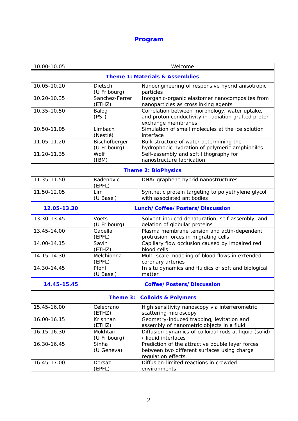# **Program**

| 10.00-10.05                                | Welcome                          |                                                                                                                            |
|--------------------------------------------|----------------------------------|----------------------------------------------------------------------------------------------------------------------------|
| <b>Theme 1: Materials &amp; Assemblies</b> |                                  |                                                                                                                            |
| 10.05-10.20                                | Dietsch<br>(U Fribourg)          | Nanoengineering of responsive hybrid anisotropic<br>particles                                                              |
| 10.20-10.35                                | Sanchez-Ferrer<br>(ETHZ)         | Inorganic-organic elastomer nanocomposites from<br>nanoparticles as crosslinking agents                                    |
| 10.35-10.50                                | Balog<br>(PSI)                   | Correlation between morphology, water uptake,<br>and proton conductivity in radiation grafted proton<br>exchange membranes |
| 10.50-11.05                                | Limbach<br>(Nestlé)              | Simulation of small molecules at the ice solution<br>interface                                                             |
| 11.05-11.20                                | Bischofberger<br>(U Fribourg)    | Bulk structure of water determining the<br>hydrophobic hydration of polymeric amphiphiles                                  |
| 11.20-11.35                                | Wolf<br>(IBM)                    | Self-assembly and soft lithography for<br>nanostructure fabrication                                                        |
| <b>Theme 2: BioPhysics</b>                 |                                  |                                                                                                                            |
| 11.35-11.50                                | Radenovic<br>(EPFL)              | DNA/ graphene hybrid nanostructures                                                                                        |
| 11.50-12.05                                | Lim<br>(U Basel)                 | Synthetic protein targeting to polyethylene glycol<br>with associated antibodies                                           |
| 12.05-13.30                                | Lunch/Coffee/Posters/Discussion  |                                                                                                                            |
| 13.30-13.45                                | Voets<br>(U Fribourg)            | Solvent-induced denaturation, self-assembly, and<br>gelation of globular proteins                                          |
| 13.45-14.00                                | Gabella<br>(EPFL)                | Plasma membrane tension and actin-dependent<br>protrusion forces in migrating cells                                        |
| 14.00-14.15                                | Savin<br>(ETHZ)                  | Capillary flow occlusion caused by impaired red<br>blood cells                                                             |
| 14.15-14.30                                | Melchionna<br>(EPFL)             | Multi-scale modeling of blood flows in extended<br>coronary arteries                                                       |
| 14.30-14.45                                | Pfohl<br>(U Basel)               | In situ dynamics and fluidics of soft and biological<br>matter                                                             |
| 14.45-15.45                                | <b>Coffee/Posters/Discussion</b> |                                                                                                                            |
| Theme 3: Colloids & Polymers               |                                  |                                                                                                                            |
| 15.45-16.00                                | Celebrano<br>(ETHZ)              | High sensitivity nanoscopy via interferometric<br>scattering microscopy                                                    |
| 16.00-16.15                                | Krishnan<br>(ETHZ)               | Geometry-induced trapping, levitation and<br>assembly of nanometric objects in a fluid                                     |
| 16.15-16.30                                | Mokhtari<br>(U Fribourg)         | Diffusion dynamics of colloidal rods at liquid (solid)<br>/ liquid interfaces                                              |
| 16.30-16.45                                | Sinha<br>(U Geneva)              | Prediction of the attractive double layer forces<br>between two different surfaces using charge<br>regulation effects      |
| 16.45-17.00                                | Dorsaz<br>(EPFL)                 | Diffusion-limited reactions in crowded<br>environments                                                                     |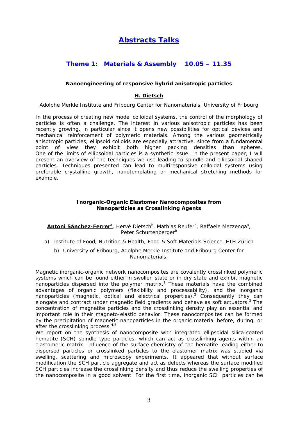## **Abstracts Talks**

## **Theme 1: Materials & Assembly 10.05 – 11.35**

## **Nanoengineering of responsive hybrid anisotropic particles**

## **H. Dietsch**

Adolphe Merkle Institute and Fribourg Center for Nanomaterials, University of Fribourg

In the process of creating new model colloidal systems, the control of the morphology of particles is often a challenge. The interest in various anisotropic particles has been recently growing, in particular since it opens new possibilities for optical devices and mechanical reinforcement of polymeric materials. Among the various geometrically anisotropic particles, ellipsoid colloids are especially attractive, since from a fundamental point of view they exhibit both higher packing densities than spheres. One of the limits of ellipsoidal particles is a synthetic issue. In the present paper, I will present an overview of the techniques we use leading to spindle and ellipsoidal shaped particles. Techniques presented can lead to multiresponsive colloidal systems using preferable crystalline growth, nanotemplating or mechanical stretching methods for example.

#### **Inorganic-Organic Elastomer Nanocomposites from Nanoparticles as Crosslinking Agents**

**Antoni Sánchez-Ferrerª**, Hervé Dietsch<sup>b</sup>, Mathias Reufer<sup>b</sup>, Raffaele Mezzengaª, Peter Schurtenberger<sup>b</sup>

- a) Institute of Food, Nutrition & Health, Food & Soft Materials Science, ETH Zürich
	- b) University of Fribourg, Adolphe Merkle Institute and Fribourg Center for Nanomaterials.

Magnetic inorganic-organic network nanocomposites are covalently crosslinked polymeric systems which can be found either in swollen state or in dry state and exhibit magnetic nanoparticles dispersed into the polymer matrix.<sup>1</sup> These materials have the combined advantages of organic polymers (flexibility and processability), and the inorganic nanoparticles (magnetic, optical and electrical properties).<sup>2</sup> Consequently they can elongate and contract under magnetic field gradients and behave as soft actuators.<sup>3</sup> The concentration of magnetite particles and the crosslinking density play an essential and important role in their magneto-elastic behavior. These nanocomposites can be formed by the precipitation of magnetic nanoparticles in the organic material before, during, or after the crosslinking process.<sup>4,5</sup>

We report on the synthesis of nanocomposite with integrated ellipsoidal silica-coated hematite (SCH) spindle type particles, which can act as crosslinking agents within an elastomeric matrix. Influence of the surface chemistry of the hematite leading either to dispersed particles or crosslinked particles to the elastomer matrix was studied via swelling, scattering and microscopy experiments. It appeared that without surface modification the SCH particle aggregate and act as defects whereas the surface modified SCH particles increase the crosslinking density and thus reduce the swelling properties of the nanocomposite in a good solvent. For the first time, inorganic SCH particles can be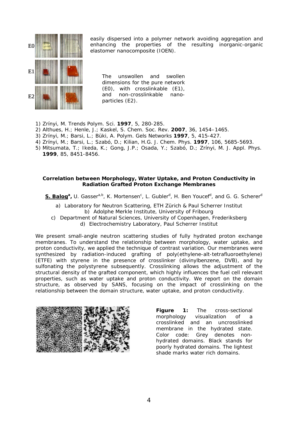

easily dispersed into a polymer network avoiding aggregation and enhancing the properties of the resulting inorganic-organic elastomer nanocomposite (IOEN).

The unswollen and swollen dimensions for the pure network (E0), with crosslinkable (E1), and non-crosslinkable nanoparticles (E2).

- 1) Zrínyi, M. *Trends Polym. Sci.* **1997**, *5*, 280-285.
- 2) Althues, H.; Henle, J.; Kaskel, S. *Chem. Soc. Rev.* **2007**, 36, 1454–1465.
- 3) Zrínyi, M.; Barsi, L.; Büki, A. *Polym. Gels Networks* **1997**, *5*, 415-427.
- 4) Zrínyi, M.; Barsi, L.; Szabó, D.; Kilian, H.G. *J. Chem. Phys.* **1997**, *106*, 5685-5693.
- 5) Mitsumata, T.; Ikeda, K.; Gong, J.P.; Osada, Y.; Szabó, D.; Zrínyi, M. *J. Appl. Phys.* **1999**, *85*, 8451-8456.

## **Correlation between Morphology, Water Uptake, and Proton Conductivity in Radiation Grafted Proton Exchange Membranes**

S. Balog<sup>a</sup>, U. Gasser<sup>a,b</sup>, K. Mortensen<sup>c</sup>, L. Gubler<sup>d</sup>, H. Ben Youcef<sup>d</sup>, and G. G. Scherer<sup>d</sup>

- a) Laboratory for Neutron Scattering, ETH Zürich & Paul Scherrer Institut b) Adolphe Merkle Institute, University of Fribourg
- c) Department of Natural Sciences, University of Copenhagen, Frederiksberg d) Electrochemistry Laboratory, Paul Scherrer Institut

We present small-angle neutron scattering studies of fully hydrated proton exchange membranes. To understand the relationship between morphology, water uptake, and proton conductivity, we applied the technique of contrast variation. Our membranes were synthesized by radiation-induced grafting of poly(ethylene-alt-tetrafluoroethylene) (ETFE) with styrene in the presence of crosslinker (divinylbenzene, DVB), and by sulfonating the polystyrene subsequently. Crosslinking allows the adjustment of the structural density of the grafted component, which highly influences the fuel cell relevant properties, such as water uptake and proton conductivity. We report on the domain structure, as observed by SANS, focusing on the impact of crosslinking on the relationship between the domain structure, water uptake, and proton conductivity.



**Figure 1:** The cross-sectional morphology visualization of a crosslinked and an uncrosslinked membrane in the hydrated state. Color code: Grey denotes nonhydrated domains. Black stands for poorly hydrated domains. The lightest shade marks water rich domains.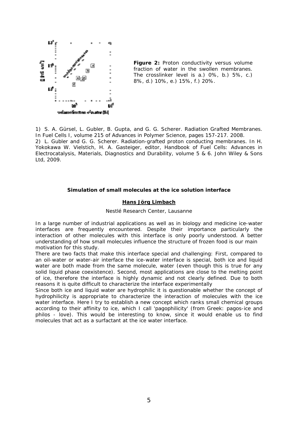

**Figure 2:** Proton conductivity versus volume fraction of water in the swollen membranes. The crosslinker level is a.) 0%, b.) 5%, c.) 8%, d.) 10%, e.) 15%, f.) 20%.

1) S. A. Gürsel, L. Gubler, B. Gupta, and G. G. Scherer. Radiation Grafted Membranes. In Fuel Cells I, volume 215 of Advances in Polymer Science, pages 157-217. 2008. 2) L. Gubler and G. G. Scherer. Radiation-grafted proton conducting membranes. In H. Yokokawa W. Vielstich, H. A. Gasteiger, editor, Handbook of Fuel Cells: Advances in Electrocatalysis, Materials, Diagnostics and Durability, volume 5 & 6. John Wiley & Sons

## Ltd, 2009.

#### **Simulation of small molecules at the ice solution interface**

### **Hans Jörg Limbach**

Nestlé Research Center, Lausanne

In a large number of industrial applications as well as in biology and medicine ice-water interfaces are frequently encountered. Despite their importance particularly the interaction of other molecules with this interface is only poorly understood. A better understanding of how small molecules influence the structure of frozen food is our main motivation for this study.

There are two facts that make this interface special and challenging: First, compared to an oil-water or water-air interface the ice-water interface is special, both ice and liquid water are both made from the same molecule, water (even though this is true for any solid liquid phase coexistence). Second, most applications are close to the melting point of ice, therefore the interface is highly dynamic and not clearly defined. Due to both reasons it is quite difficult to characterize the interface experimentally

Since both ice and liquid water are hydrophilic it is questionable whether the concept of hydrophilicity is appropriate to characterize the interaction of molecules with the ice water interface. Here I try to establish a new concept which ranks small chemical groups according to their affinity to ice, which I call 'pagophilicity' (from Greek: pagos-ice and philos - love). This would be interesting to know, since it would enable us to find molecules that act as a surfactant at the ice water interface.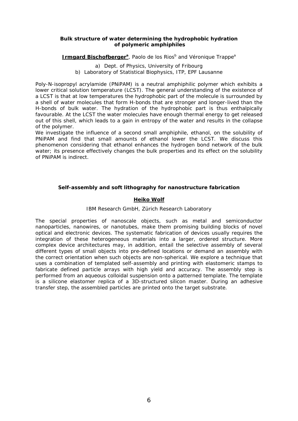## **Bulk structure of water determining the hydrophobic hydration of polymeric amphiphiles**

## Irmgard Bischofberger<sup>a</sup>, Paolo de los Rios<sup>b</sup> and Véronique Trappe<sup>a</sup>

a) Dept. of Physics, University of Fribourg b) Laboratory of Statistical Biophysics, ITP, EPF Lausanne

Poly-N-isopropyl acrylamide (PNiPAM) is a neutral amphiphilic polymer which exhibits a lower critical solution temperature (LCST). The general understanding of the existence of a LCST is that at low temperatures the hydrophobic part of the molecule is surrounded by a shell of water molecules that form H-bonds that are stronger and longer-lived than the H-bonds of bulk water. The hydration of the hydrophobic part is thus enthalpically favourable. At the LCST the water molecules have enough thermal energy to get released out of this shell, which leads to a gain in entropy of the water and results in the collapse of the polymer.

We investigate the influence of a second small amphiphile, ethanol, on the solubility of PNiPAM and find that small amounts of ethanol lower the LCST. We discuss this phenomenon considering that ethanol enhances the hydrogen bond network of the bulk water; its presence effectively changes the bulk properties and its effect on the solubility of PNiPAM is indirect.

## **Self-assembly and soft lithography for nanostructure fabrication**

## **Heiko Wolf**

## IBM Research GmbH, Zürich Research Laboratory

The special properties of nanoscale objects, such as metal and semiconductor nanoparticles, nanowires, or nanotubes, make them promising building blocks of novel optical and electronic devices. The systematic fabrication of devices usually requires the integration of these heterogeneous materials into a larger, ordered structure. More complex device architectures may, in addition, entail the selective assembly of several different types of small objects into pre-defined locations or demand an assembly with the correct orientation when such objects are non-spherical. We explore a technique that uses a combination of templated self-assembly and printing with elastomeric stamps to fabricate defined particle arrays with high yield and accuracy. The assembly step is performed from an aqueous colloidal suspension onto a patterned template. The template is a silicone elastomer replica of a 3D-structured silicon master. During an adhesive transfer step, the assembled particles are printed onto the target substrate.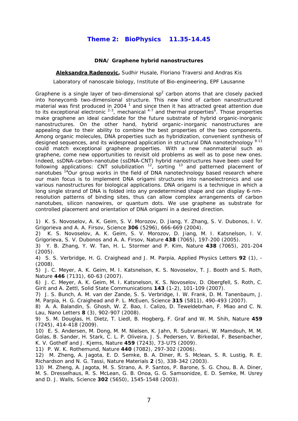## **Theme 2: BioPhysics 11.35-14.45**

## **DNA/ Graphene hybrid nanostructures**

**Aleksandra Radenovic,** Sudhir Husale, Floriano Traversi and Andras Kis

Laboratory of nanoscale biology, Institute of Bio-engineering, EPF Lausanne

Graphene is a single layer of two-dimensional  $sp<sup>2</sup>$  carbon atoms that are closely packed into honeycomb two-dimensional structure. This new kind of carbon nanostructured material was first produced in 2004  $<sup>1</sup>$  and since then it has attracted great attention due</sup> to its exceptional electronic  $2-3$ , mechanical  $4-7$  and thermal properties  $8$ . Those properties make graphene an ideal candidate for the future substrate of hybrid organic-inorganic nanostructures. On the other hand, hybrid organic–inorganic nanostructures are appealing due to their ability to combine the best properties of the two components. Among organic molecules, DNA properties such as hybridization, convenient synthesis of designed sequences, and its widespread application in structural DNA nanotechnology<sup>9-11</sup> could match exceptional graphene properties. With a new naonmaterial such as graphene, come new opportunities to revisit old problems as well as to pose new ones. Indeed, ssDNA-carbon-nanotube (ssDNA-CNT) hybrid nanostructures have been used for following applications: CNT solubilization  $12$ , sorting  $13$  and patterned placement of nanotubes <sup>14</sup>Our group works in the field of DNA nanotechnology based research where our main focus is to implement DNA origami structures into nanoelectronics and use various nanostructures for biological applications. DNA origami is a technique in which a long single strand of DNA is folded into any predetermined shape and can display 6-nmresolution patterns of binding sites, thus can allow complex arrangements of carbon nanotubes, silicon nanowires, or quantum dots. We use graphene as substrate for controlled placement and orientation of DNA origami in a desired direction.

1) K. S. Novoselov, A. K. Geim, S. V. Morozov, D. Jiang, Y. Zhang, S. V. Dubonos, I. V. Grigorieva and A. A. Firsov, Science **306** (5296), 666-669 (2004).

2) K. S. Novoselov, A. K. Geim, S. V. Morozov, D. Jiang, M. I. Katsnelson, I. V. Grigorieva, S. V. Dubonos and A. A. Firsov, Nature **438** (7065), 197-200 (2005).

3) Y. B. Zhang, Y. W. Tan, H. L. Stormer and P. Kim, Nature **438** (7065), 201-204 (2005).

4) S. S. Verbridge, H. G. Craighead and J. M. Parpia, Applied Physics Letters **92** (1), - (2008).

5) J. C. Meyer, A. K. Geim, M. I. Katsnelson, K. S. Novoselov, T. J. Booth and S. Roth, Nature **446** (7131), 60-63 (2007).

6) J. C. Meyer, A. K. Geim, M. I. Katsnelson, K. S. Novoselov, D. Obergfell, S. Roth, C. Girit and A. Zettl, Solid State Communications **143** (1-2), 101-109 (2007).

7) J. S. Bunch, A. M. van der Zande, S. S. Verbridge, I. W. Frank, D. M. Tanenbaum, J. M. Parpia, H. G. Craighead and P. L. McEuen, Science **315** (5811), 490-493 (2007).

8) A. A. Balandin, S. Ghosh, W. Z. Bao, I. Calizo, D. Teweldebrhan, F. Miao and C. N. Lau, Nano Letters **8** (3), 902-907 (2008).

9) S. M. Douglas, H. Dietz, T. Liedl, B. Hogberg, F. Graf and W. M. Shih, Nature **459** (7245), 414-418 (2009).

10) E. S. Andersen, M. Dong, M. M. Nielsen, K. Jahn, R. Subramani, W. Mamdouh, M. M. Golas, B. Sander, H. Stark, C. L. P. Oliveira, J. S. Pedersen, V. Birkedal, F. Besenbacher, K. V. Gothelf and J. Kjems, Nature **459** (7243), 73-U75 (2009).

11) P. W. K. Rothemund, Nature **440** (7082), 297-302 (2006).

12) M. Zheng, A. Jagota, E. D. Semke, B. A. Diner, R. S. Mclean, S. R. Lustig, R. E. Richardson and N. G. Tassi, Nature Materials **2** (5), 338-342 (2003).

13) M. Zheng, A. Jagota, M. S. Strano, A. P. Santos, P. Barone, S. G. Chou, B. A. Diner, M. S. Dresselhaus, R. S. McLean, G. B. Onoa, G. G. Samsonidze, E. D. Semke, M. Usrey and D. J. Walls, Science **302** (5650), 1545-1548 (2003).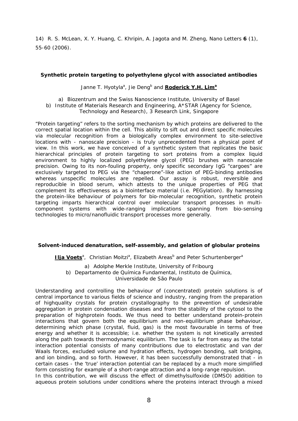14) R. S. McLean, X. Y. Huang, C. Khripin, A. Jagota and M. Zheng, Nano Letters **6** (1), 55-60 (2006).

## **Synthetic protein targeting to polyethylene glycol with associated antibodies**

Janne T. Hyotyla<sup>a</sup>, Jie Deng<sup>b</sup> and **Roderick Y.H. Lim<sup>a</sup>** 

a) Biozentrum and the Swiss Nanoscience Institute, University of Basel

b) Institute of Materials Research and Engineering, A\*STAR (Agency for Science, Technology and Research), 3 Research Link, Singapore

"Protein targeting" refers to the sorting mechanism by which proteins are delivered to the correct spatial location within the cell. This ability to sift out and direct specific molecules via molecular recognition from a biologically complex environment to site-selective locations with - nanoscale precision - is truly unprecedented from a physical point of view. In this work, we have conceived of a synthetic system that replicates the basic hierarchical principles of protein targeting to sort proteins from a complex liquid environment to highly localized polyethylene glycol (PEG) brushes with nanoscale precision. Owing to its non-fouling property, only specific secondary IgG "cargoes" are exclusively targeted to PEG via the "chaperone"-like action of PEG-binding antibodies whereas unspecific molecules are repelled. Our assay is robust, reversible and reproducible in blood serum, which attests to the unique properties of PEG that complement its effectiveness as a biointerface material (i.e. PEGylation). By harnessing the protein-like behaviour of polymers for bio-molecular recognition, synthetic protein targeting imparts hierarchical control over molecular transport processes in multicomponent systems with wide-ranging implications spanning from bio-sensing technologies to micro/nanofluidic transport processes more generally.

## **Solvent-induced denaturation, self-assembly, and gelation of globular proteins**

**Ilia Voets**<sup>a</sup>, Christian Moitzi<sup>a</sup>, Elizabeth Areas<sup>b</sup> and Peter Schurtenberger<sup>a</sup>

a) Adolphe Merkle Institute, University of Fribourg b) Departamento de Química Fundamental, Instituto de Química, Universidade de São Paulo

Understanding and controlling the behaviour of (concentrated) protein solutions is of central importance to various fields of science and industry, ranging from the preparation of highquality crystals for protein crystallography to the prevention of undesirable aggregation in protein condensation diseases and from the stability of the cytosol to the preparation of highprotein foods. We thus need to better understand protein-protein interactions that govern both the equilibrium and non-equilibrium phase behaviour, determining which phase (crystal, fluid, gas) is the most favourable in terms of free energy and whether it is accessible; i.e. whether the system is not kinetically arrested along the path towards thermodynamic equilibrium. The task is far from easy as the total interaction potential consists of many contributions due to electrostatic and van der Waals forces, excluded volume and hydration effects, hydrogen bonding, salt bridging, and ion binding, and so forth. However, it has been successfully demonstrated that - in certain cases - the 'true' interaction potential can be replaced by a much more simplified form consisting for example of a short-range attraction and a long-range repulsion.

In this contribution, we will discuss the effect of dimethylsulfoxide (DMSO) addition to aqueous protein solutions under conditions where the proteins interact through a mixed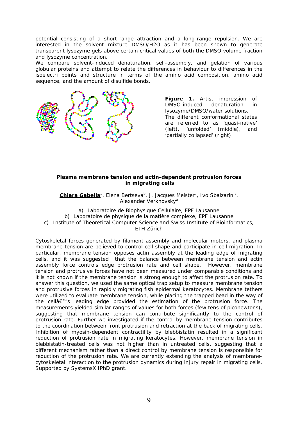potential consisting of a short-range attraction and a long-range repulsion. We are interested in the solvent mixture DMSO/H2O as it has been shown to generate transparent lysozyme gels above certain critical values of both the DMSO volume fraction and lysozyme concentration.

We compare solvent-induced denaturation, self-assembly, and gelation of various globular proteins and attempt to relate the differences in behaviour to differences in the isoelectri points and structure in terms of the amino acid composition, amino acid sequence, and the amount of disulfide bonds.



**Figure 1.** Artist impression of DMSO-induced denaturation in lysozyme/DMSO/water solutions. The different conformational states are referred to as 'quasi-native' (left), 'unfolded' (middle), and 'partially collapsed' (right).

## **Plasma membrane tension and actin-dependent protrusion forces in migrating cells**

Chiara Gabella<sup>a</sup>, Elena Bertseva<sup>b</sup>, J. Jacques Meister<sup>a</sup>, Ivo Sbalzarini<sup>c</sup>, Alexander Verkhovsky<sup>a</sup>

a) Laboratoire de Biophysique Cellulaire, EPF Lausanne b) Laboratoire de physique de la matière complexe, EPF Lausanne c) Institute of Theoretical Computer Science and Swiss Institute of Bioinformatics, ETH Zürich

Cytoskeletal forces generated by filament assembly and molecular motors, and plasma membrane tension are believed to control cell shape and participate in cell migration. In particular, membrane tension opposes actin assembly at the leading edge of migrating cells, and it was suggested that the balance between membrane tension and actin assembly force controls edge protrusion rate and cell shape. However, membrane tension and protrusive forces have not been measured under comparable conditions and it is not known if the membrane tension is strong enough to affect the protrusion rate. To answer this question, we used the same optical trap setup to measure membrane tension and protrusive forces in rapidly migrating fish epidermal keratocytes. Membrane tethers were utilized to evaluate membrane tension, while placing the trapped bead in the way of the cell $a \in \mathbb{N}$ s leading edge provided the estimation of the protrusion force. The measurements yielded similar ranges of values for both forces (few tens of piconewtons), suggesting that membrane tension can contribute significantly to the control of protrusion rate. Further we investigated if the control by membrane tension contributes to the coordination between front protrusion and retraction at the back of migrating cells. Inhibition of myosin-dependent contractility by blebbistatin resulted in a significant reduction of protrusion rate in migrating keratocytes. However, membrane tension in blebbistatin-treated cells was not higher than in untreated cells, suggesting that a different mechanism rather than a direct control by membrane tension is responsible for reduction of the protrusion rate. We are currently extending the analysis of membranecytoskeletal interaction to the protrusion dynamics during injury repair in migrating cells. Supported by SystemsX IPhD grant.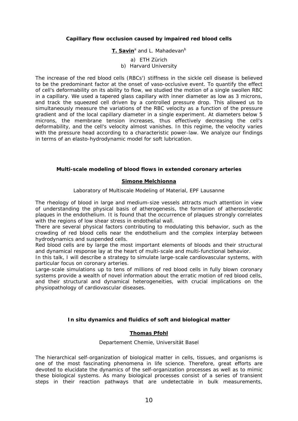## **Capillary flow occlusion caused by impaired red blood cells**

## **<u>T. Savin</u><sup>a</sup> and L. Mahadevan<sup>b</sup>**

a) ETH Zürich

b) Harvard University

The increase of the red blood cells (RBCs') stiffness in the sickle cell disease is believed to be the predominant factor at the onset of vaso-occlusive event. To quantify the effect of cell's deformability on its ability to flow, we studied the motion of a single swollen RBC in a capillary. We used a tapered glass capillary with inner diameter as low as 3 microns, and track the squeezed cell driven by a controlled pressure drop. This allowed us to simultaneously measure the variations of the RBC velocity as a function of the pressure gradient and of the local capillary diameter in a single experiment. At diameters below 5 microns, the membrane tension increases, thus effectively decreasing the cell's deformability, and the cell's velocity almost vanishes. In this regime, the velocity varies with the pressure head according to a characteristic power-law. We analyze our findings in terms of an elasto-hydrodynamic model for soft lubrication.

## **Multi-scale modeling of blood flows in extended coronary arteries**

## **Simone Melchionna**

Laboratory of Multiscale Modeling of Material, EPF Lausanne

The rheology of blood in large and medium-size vessels attracts much attention in view of understanding the physical basis of atherogenesis, the formation of atherosclerotic plaques in the endothelium. It is found that the occurrence of plaques strongly correlates with the regions of low shear stress in endothelial wall.

There are several physical factors contributing to modulating this behavior, such as the crowding of red blood cells near the endothelium and the complex interplay between hydrodynamics and suspended cells.

Red blood cells are by large the most important elements of bloods and their structural and dynamical response lay at the heart of multi-scale and multi-functional behavior.

In this talk, I will describe a strategy to simulate large-scale cardiovascular systems, with particular focus on coronary arteries.

Large-scale simulations up to tens of millions of red blood cells in fully blown coronary systems provide a wealth of novel information about the erratic motion of red blood cells, and their structural and dynamical heterogeneities, with crucial implications on the physiopathology of cardiovascular diseases.

## *In situ* **dynamics and fluidics of soft and biological matter**

## **Thomas Pfohl**

## Departement Chemie, Universität Basel

The hierarchical self-organization of biological matter in cells, tissues, and organisms is one of the most fascinating phenomena in life science. Therefore, great efforts are devoted to elucidate the dynamics of the self-organization processes as well as to mimic these biological systems. As many biological processes consist of a series of transient steps in their reaction pathways that are undetectable in bulk measurements,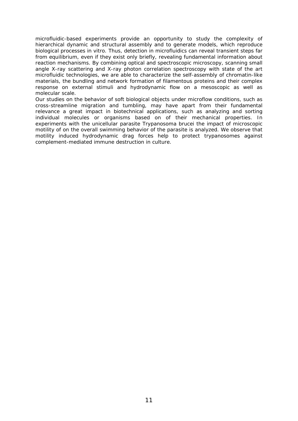microfluidic-based experiments provide an opportunity to study the complexity of hierarchical dynamic and structural assembly and to generate models, which reproduce biological processes *in vitro.* Thus, detection in microfluidics can reveal transient steps far from equilibrium, even if they exist only briefly, revealing fundamental information about reaction mechanisms. By combining optical and spectroscopic microscopy, scanning small angle X-ray scattering and X-ray photon correlation spectroscopy with state of the art microfluidic technologies, we are able to characterize the self-assembly of chromatin-like materials, the bundling and network formation of filamentous proteins and their complex response on external stimuli and hydrodynamic flow on a mesoscopic as well as molecular scale.

Our studies on the behavior of soft biological objects under microflow conditions, such as cross-streamline migration and tumbling, may have apart from their fundamental relevance a great impact in biotechnical applications, such as analyzing and sorting individual molecules or organisms based on of their mechanical properties. In experiments with the unicellular parasite *Trypanosoma brucei* the impact of microscopic motility of on the overall swimming behavior of the parasite is analyzed. We observe that motility induced hydrodynamic drag forces help to protect trypanosomes against complement-mediated immune destruction in culture.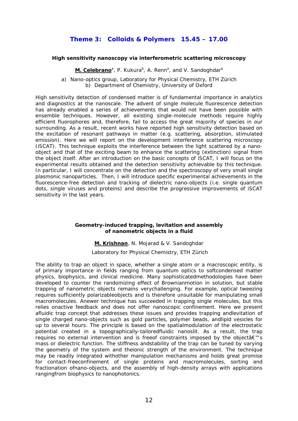## **Theme 3: Colloids & Polymers 15.45 – 17.00**

## **High sensitivity nanoscopy via interferometric scattering microscopy**

**M. Celebrano**<sup>a</sup>, P. Kukura<sup>b</sup>, A. Renn<sup>a</sup>, and V. Sandoghdar<sup>a</sup>

a) Nano-optics group, Laboratory for Physical Chemistry, ETH Zürich b) Department of Chemistry, University of Oxford

High sensitivity detection of condensed matter is of fundamental importance in analytics and diagnostics at the nanoscale. The advent of single molecule fluorescence detection has already enabled a series of achievements that would not have been possible with ensemble techniques. However, all existing single-molecule methods require highly efficient fluorophores and, therefore, fail to access the great majority of species in our surrounding. As a result, recent works have reported high sensitivity detection based on the excitation of resonant pathways in matter (e.g. scattering, absorption, stimulated emission). Here we will report on the development interference scattering microscopy (iSCAT). This technique exploits the interference between the light scattered by a nanoobject and that of the exciting beam to enhance the scattering (extinction) signal from the object itself. After an introduction on the basic concepts of iSCAT, I will focus on the experimental results obtained and the detection sensitivity achievable by this technique. In particular, I will concentrate on the detection and the spectroscopy of very small single plasmonic nanoparticles. Then, I will introduce specific experimental achievements in the fluorescence-free detection and tracking of dielectric nano-objects (i.e. single quantum dots, single viruses and proteins) and describe the progressive improvements of iSCAT sensitivity in the last years.

## **Geometry-induced trapping, levitation and assembly of nanometric objects in a fluid**

**M. Krishnan**, N. Mojarad & V. Sandoghdar

Laboratory for Physical Chemistry, ETH Zürich

The ability to trap an object in space, whether a single atom or a macroscopic entity, is of primary importance in fields ranging from quantum optics to softcondensed matter physics, biophysics, and clinical medicine. Many sophisticatedmethodologies have been developed to counter the randomizing effect of Brownianmotion in solution, but stable trapping of nanometric objects remains verychallenging. For example, optical tweezing requires sufficiently polarizableobjects and is therefore unsuitable for manipulating small macromolecules. Anewer technique has succeeded in trapping single molecules, but this relies onactive feedback and does not offer nanoscopic confinement. Here we present afluidic trap concept that addresses these issues and provides trapping andlevitation of single charged nano-objects such as gold particles, polymer beads, andlipid vesicles for up to several hours. The principle is based on the spatialmodulation of the electrostatic potential created in a topographically-tailoredfluidic nanoslit. As a result, the trap requires no external intervention and is freeof constraints imposed by the object  $a \in \mathbb{R}^N$ s mass or dielectric function. The stiffness andstability of the trap can be tuned by varying the geometry of the system and theionic strength of the environment. The technique may be readily integrated withother manipulation mechanisms and holds great promise for contact-freeconfinement of single proteins and macromolecules, sorting and fractionation ofnano-objects, and the assembly of high-density arrays with applications rangingfrom biophysics to nanophotonics.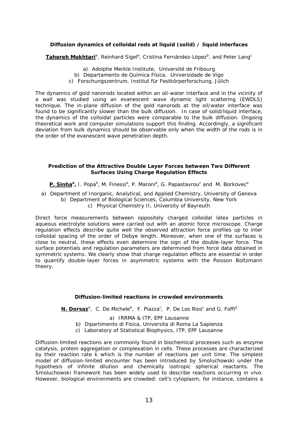## **Diffusion dynamics of colloidal rods at liquid (solid) / liquid interfaces**

Tahereh Mokhtari<sup>a</sup>, Reinhard Sigel<sup>a</sup>, Cristina Fernández-López<sup>b</sup>, and Peter Lang<sup>c</sup>

- a) Adolphe Merkle Institute, Université de Fribourg
- b) Departamento de Química Física, Universidade de Vigo
- c) Forschungszentrum, Institut für Festkörperforschung, Jülich

The dynamics of gold nanorods located within an oil-water interface and in the vicinity of a wall was studied using an evanescent wave dynamic light scattering (EWDLS) technique. The in-plane diffusion of the gold nanorods at the oil/water interface was found to be significantly slower than the bulk diffusion. In case of solid/liquid interface, the dynamics of the colloidal particles were comparable to the bulk diffusion. Ongoing theoretical work and computer simulations support this finding. Accordingly, a significant deviation from bulk dynamics should be observable only when the width of the rods is in the order of the evanescent wave penetration depth.

## **Prediction of the Attractive Double Layer Forces between Two Different Surfaces Using Charge Regulation Effects**

P. Sinha<sup>a</sup>, I. Popa<sup>b</sup>, M. Finessi<sup>a</sup>, P. Maroni<sup>a</sup>, G. Papastavrou<sup>c</sup> and M. Borkovec<sup>a</sup>

a) Department of Inorganic, Analytical, and Applied Chemistry, University of Geneva b) Department of Biological Sciences, Columbia University, New York c) Physical Chemistry II, University of Bayreuth

Direct force measurements between oppositely charged colloidal latex particles in aqueous electrolyte solutions were carried out with an atomic force microscope. Charge regulation effects describe quite well the observed attraction force profiles up to inter colloidal spacing of the order of Debye length. Moreover, when one of the surfaces is close to neutral, these effects even determine the sign of the double-layer force. The surface potentials and regulation parameters are determined from force data obtained in symmetric systems. We clearly show that charge regulation effects are essential in order to quantify double-layer forces in asymmetric systems with the Poisson Boltzmann theory.

## **Diffusion-limited reactions in crowded environments**

N. Dorsaz<sup>a</sup>, C. De Michele<sup>b</sup>, F. Piazza<sup>c</sup>, P. De Los Rios<sup>c</sup> and G. Foffi<sup>a</sup>

a) IRRMA & ITP, EPF Lausanne

- b) Dipartimento di Fisica, Universita di Roma La Sapienza
- c) Laboratory of Statistical Biophysics, ITP, EPF Lausanne

Diffusion-limited reactions are commonly found in biochemical processes such as enzyme catalysis, protein aggregation or complexation in cells. These processes are characterized by their reaction rate k which is the number of reactions per unit time. The simplest model of diffusion-limited encounter has been introduced by Smoluchowski under the hypothesis of infinite dilution and chemically isotropic spherical reactants. The Smoluchowski framework has been widely used to describe reactions occurring in vivo. However, biological environments are crowded: cell's cytoplasm, for instance, contains a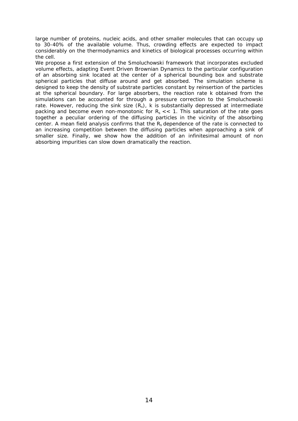large number of proteins, nucleic acids, and other smaller molecules that can occupy up to 30-40% of the available volume. Thus, crowding effects are expected to impact considerably on the thermodynamics and kinetics of biological processes occurring within the cell.

We propose a first extension of the Smoluchowski framework that incorporates excluded volume effects, adapting Event Driven Brownian Dynamics to the particular configuration of an absorbing sink located at the center of a spherical bounding box and substrate spherical particles that diffuse around and get absorbed. The simulation scheme is designed to keep the density of substrate particles constant by reinsertion of the particles at the spherical boundary. For large absorbers, the reaction rate k obtained from the simulations can be accounted for through a pressure correction to the Smoluchowski rate. However, reducing the sink size  $(R_s)$ , k is substantially depressed at intermediate packing and become even non-monotonic for  $R_s \ll 1$ . This saturation of the rate goes together a peculiar ordering of the diffusing particles in the vicinity of the absorbing center. A mean field analysis confirms that the  $R_s$  dependence of the rate is connected to an increasing competition between the diffusing particles when approaching a sink of smaller size. Finally, we show how the addition of an infinitesimal amount of non absorbing impurities can slow down dramatically the reaction.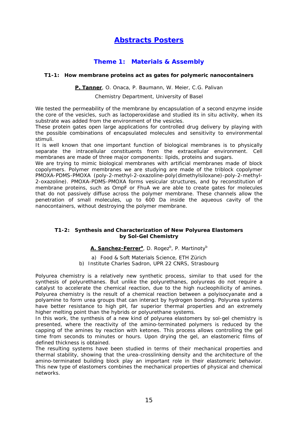## **Abstracts Posters**

## **Theme 1: Materials & Assembly**

## **T1-1: How membrane proteins act as gates for polymeric nanocontainers**

## **P. Tanner**, O. Onaca, P. Baumann, W. Meier, C.G. Palivan

Chemistry Department, University of Basel

We tested the permeability of the membrane by encapsulation of a second enzyme inside the core of the vesicles, such as lactoperoxidase and studied its in situ activity, when its substrate was added from the environment of the vesicles.

These protein gates open large applications for controlled drug delivery by playing with the possible combinations of encapsulated molecules and sensitivity to environmental stimuli.

It is well known that one important function of biological membranes is to physically separate the intracellular constituents from the extracellular environment. Cell membranes are made of three major components: lipids, proteins and sugars.

We are trying to mimic biological membranes with artificial membranes made of block copolymers. Polymer membranes we are studying are made of the triblock copolymer PMOXA-PDMS-PMOXA (poly-2-methyl-2-oxazoline-poly(dimethylsiloxane)-poly-2-methyl-2-oxazoline). PMOXA-PDMS-PMOXA forms vesicular structures, and by reconstitution of membrane proteins, such as OmpF or FhuA we are able to create gates for molecules that do not passively diffuse across the polymer membrane. These channels allow the penetration of small molecules, up to 600 Da inside the aqueous cavity of the nanocontainers, without destroying the polymer membrane.

## **T1-2: Synthesis and Characterization of New Polyurea Elastomers by Sol-Gel Chemistry**

## **A. Sanchez-Ferrer**<sup>a</sup>, D. Rogez<sup>b</sup>, P. Martinoty<sup>b</sup>

a) Food & Soft Materials Science, ETH Zürich b) Institute Charles Sadron, UPR 22 CNRS, Strasbourg

Polyurea chemistry is a relatively new synthetic process, similar to that used for the synthesis of polyurethanes. But unlike the polyurethanes, polyureas do not require a catalyst to accelerate the chemical reaction, due to the high nucleophilicity of amines. Polyurea chemistry is the result of a chemical reaction between a polyisocyanate and a polyamine to form urea groups that can interact by hydrogen bonding. Polyurea systems have better resistance to high pH, far superior thermal properties and an extremely higher melting point than the hybrids or polyurethane systems.

In this work, the synthesis of a new kind of polyurea elastomers by sol-gel chemistry is presented, where the reactivity of the amino-terminated polymers is reduced by the capping of the amines by reaction with ketones. This process allows controlling the gel time from seconds to minutes or hours. Upon drying the gel, an elastomeric films of defined thickness is obtained.

The resulting systems have been studied in terms of their mechanical properties and thermal stability, showing that the urea-crosslinking density and the architecture of the amino-terminated building block play an important role in their elastomeric behavior. This new type of elastomers combines the mechanical properties of physical and chemical networks.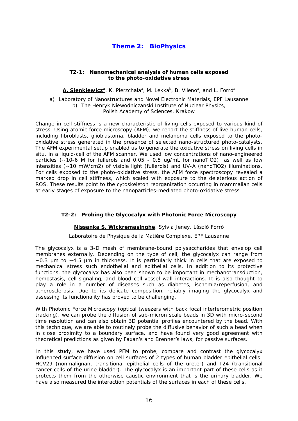## **Theme 2: BioPhysics**

## **T2-1: Nanomechanical analysis of human cells exposed to the photo-oxidative stress**

**A. Sienkiewicz<sup>a</sup>, K. Pierzchala<sup>a</sup>, M. Lekka<sup>b</sup>, B. Vileno<sup>a</sup>, and L. Forró<sup>a</sup>** 

a) Laboratory of Nanostructures and Novel Electronic Materials, EPF Lausanne b) The Henryk Niewodniczanski Institute of Nuclear Physics, Polish Academy of Sciences, Krakow

Change in cell stiffness is a new characteristic of living cells exposed to various kind of stress. Using atomic force microscopy (AFM), we report the stiffness of live human cells, including fibroblasts, glioblastoma, bladder and melanoma cells exposed to the photooxidative stress generated in the presence of selected nano-structured photo-catalysts. The AFM experimental setup enabled us to generate the oxidative stress on living cells in situ, in a liquid-cell of the AFM scanner. We used low concentrations of nano-engineered particles (~10-6 M for fullerols and 0.05 - 0.5 ug/mL for nanoTiO2), as well as low intensities (~10 mW/cm2) of visible light (fullerols) and UV-A (nanoTiO2) illuminations. For cells exposed to the photo-oxidative stress, the AFM force spectroscopy revealed a marked drop in cell stiffness, which scaled with exposure to the deleterious action of ROS. These results point to the cytoskeleton reorganization occurring in mammalian cells at early stages of exposure to the nanoparticles-mediated photo-oxidative stress

## **T2-2: Probing the Glycocalyx with Photonic Force Microscopy**

## **Nissanka S. Wickremasinghe**, Sylvia Jeney, László Forró

## Laboratoire de Physique de la Matière Complexe, EPF Lausanne

The glycocalyx is a 3-D mesh of membrane-bound polysaccharides that envelop cell membranes externally. Depending on the type of cell, the glycocalyx can range from  $\sim$ 0.3 um to  $\sim$ 4.5 um in thickness. It is particularly thick in cells that are exposed to mechanical stress such endothelial and epithelial cells. In addition to its protective functions, the glycocalyx has also been shown to be important in mechanotransduction, hemostasis, cell-signaling, and blood cell-vessel wall interactions. It is also thought to play a role in a number of diseases such as diabetes, ischemia/reperfusion, and atherosclerosis. Due to its delicate composition, reliably imaging the glycocalyx and assessing its functionality has proved to be challenging.

With Photonic Force Microscopy (optical tweezers with back focal interferometric position tracking), we can probe the diffusion of sub-micron scale beads in 3D with micro-second time resolution and can also obtain 3D potential profiles encountered by the bead. With this technique, we are able to routinely probe the diffusive behavior of such a bead when in close proximity to a boundary surface, and have found very good agreement with theoretical predictions as given by Faxan's and Brenner's laws, for passive surfaces.

In this study, we have used PFM to probe, compare and contrast the glycocalyx influenced surface diffusion on cell surfaces of 2 types of human bladder epithelial cells: HCV29 (nonmalignant transitional epithelial cells of the ureter) and T24 (transitional cancer cells of the urine bladder). The glycocalyx is an important part of these cells as it protects them from the otherwise caustic environment that is the urinary bladder. We have also measured the interaction potentials of the surfaces in each of these cells.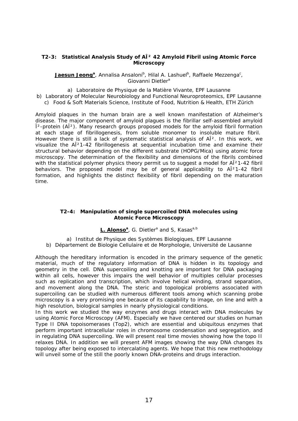## **T2-3: Statistical Analysis Study of Aβ 42 Amyloid Fibril using Atomic Force Microscopy**

**Jaesun Jeong**<sup>a</sup>, Annalisa Ansaloni<sup>b</sup>, Hilal A. Lashuel<sup>b</sup>, Raffaele Mezzenga<sup>c</sup>, Giovanni Dietler<sup>a</sup>

- a) Laboratoire de Physique de la Matière Vivante, EPF Lausanne
- b) Laboratory of Molecular Neurobiology and Functional Neuroproteomics, EPF Lausanne c) Food & Soft Materials Science, Institute of Food, Nutrition & Health, ETH Zürich

Amyloid plaques in the human brain are a well known manifestation of Alzheimer's disease. The major component of amyloid plagues is the fibrillar self-assembled amyloid  $\hat{I}^2$ -protein (A $\hat{I}^2$ ). Many research groups proposed models for the amyloid fibril formation at each stage of fibrillogenesis, from soluble monomer to insoluble mature fibril. However there is still a lack of systematic statistical analysis of A $\hat{I}^2$ . In this work, we visualize the AÎ<sup>2</sup>1-42 fibrillogenesis at sequential incubation time and examine their structural behavior depending on the different substrate (HOPG/Mica) using atomic force microscopy. The determination of the flexibility and dimensions of the fibrils combined with the statistical polymer physics theory permit us to suggest a model for AÎ<sup>2</sup>1-42 fibril behaviors. The proposed model may be of general applicability to AÎ<sup>2</sup>1-42 fibril formation, and highlights the distinct flexibility of fibril depending on the maturation time.

## **T2-4: Manipulation of single supercoiled DNA molecules using Atomic Force Microscopy**

## L. Alonso<sup>a</sup>, G. Dietler<sup>a</sup> and S, Kasas<sup>a,b</sup>

a) Institut de Physique des Systèmes Biologiques, EPF Lausanne b) Département de Biologie Cellulaire et de Morphologie, Université de Lausanne

Although the hereditary information is encoded in the primary sequence of the genetic material, much of the regulatory information of DNA is hidden in its topology and geometry in the cell. DNA supercoiling and knotting are important for DNA packaging within all cells, however this impairs the well behavior of multiples cellular processes such as replication and transcription, which involve helical winding, strand separation, and movement along the DNA. The steric and topological problems associated with supercoiling can be studied with numerous different tools among which scanning probe microscopy is a very promising one because of its capability to image, on line and with a high resolution, biological samples in nearly physiological conditions.

In this work we studied the way enzymes and drugs interact with DNA molecules by using Atomic Force Microscopy (AFM). Especially we have centered our studies on human Type II DNA topoisomerases (Top2), which are essential and ubiquitous enzymes that perform important intracellular roles in chromosome condensation and segregation, and in regulating DNA supercoiling. We will present real time movies showing how the topo II relaxes DNA. In addition we will present AFM images showing the way DNA changes its topology after being exposed to intercalating agents. We hope that this new methodology will unveil some of the still the poorly known DNA-proteins and drugs interaction.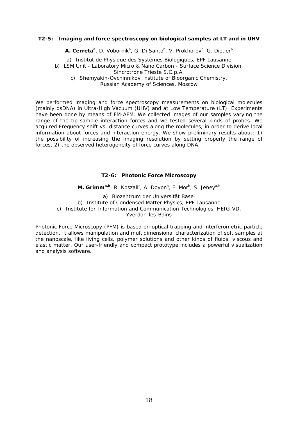## **T2-5: Imaging and force spectroscopy on biological samples at LT and in UHV**

**A. Cerreta<sup>a</sup>,** D. Vobornik<sup>a</sup>, G. Di Santo<sup>b</sup>, V. Prokhorov<sup>c</sup>, G. Dietler<sup>a</sup>

a) Institut de Physique des Systèmes Biologiques, EPF Lausanne

b) LSM Unit - Laboratory Micro & Nano Carbon - Surface Science Division,

Sincrotrone Trieste S.C.p.A.

c) Shemyakin-Ovchinnikov Institute of Bioorganic Chemistry,

Russian Academy of Sciences, Moscow

We performed imaging and force spectroscopy measurements on biological molecules (mainly dsDNA) in Ultra-High Vacuum (UHV) and at Low Temperature (LT). Experiments have been done by means of FM-AFM. We collected images of our samples varying the range of the tip-sample interaction forces and we tested several kinds of probes. We acquired Frequency shift vs. distance curves along the molecules, in order to derive local information about forces and interaction energy. We show preliminary results about: 1) the possibility of increasing the imaging resolution by setting properly the range of forces, 2) the observed heterogeneity of force curves along DNA.

## **T2-6: Photonic Force Microscopy**

**M. Grimm<sup>a,b</sup>, R. Koszali<sup>c</sup>, A. Doyon<sup>a</sup>, F. Mor<sup>b</sup>, S. Jeney<sup>a,b</sup>** 

a) Biozentrum der Universität Basel b) Institute of Condensed Matter Physics, EPF Lausanne c) Institute for Information and Communication Technologies, HEIG-VD, Yverdon-les-Bains

Photonic Force Microscopy (PFM) is based on optical trapping and interferometric particle detection. It allows manipulation and multidimensional characterization of soft samples at the nanoscale, like living cells, polymer solutions and other kinds of fluids, viscous and elastic matter. Our user-friendly and compact prototype includes a powerful visualization and analysis software.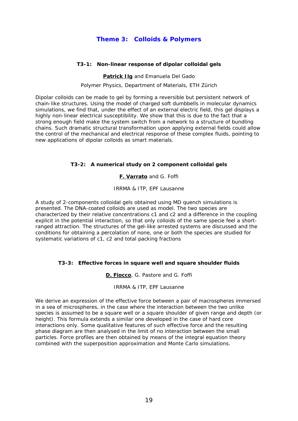## **Theme 3: Colloids & Polymers**

## **T3-1: Non-linear response of dipolar colloidal gels**

## **Patrick Ilg** and Emanuela Del Gado

#### Polymer Physics, Department of Materials, ETH Zürich

Dipolar colloids can be made to gel by forming a reversible but persistent network of chain-like structures. Using the model of charged soft dumbbells in molecular dynamics simulations, we find that, under the effect of an external electric field, this gel displays a highly non-linear electrical susceptibility. We show that this is due to the fact that a strong enough field make the system switch from a network to a structure of bundling chains. Such dramatic structural transformation upon applying external fields could allow the control of the mechanical and electrical response of these complex fluids, pointing to new applications of dipolar colloids as smart materials.

## **T3-2: A numerical study on 2 component colloidal gels**

## **F. Varrato** and G. Foffi

## IRRMA & ITP, EPF Lausanne

A study of 2-components colloidal gels obtained using MD quench simulations is presented. The DNA-coated colloids are used as model. The two species are characterized by their relative concentrations c1 and c2 and a difference in the coupling explicit in the potential interaction, so that only colloids of the same specie feel a shortranged attraction. The structures of the gel-like arrested systems are discussed and the conditions for obtaining a percolation of none, one or both the species are studied for systematic variations of c1, c2 and total packing fractions

## **T3-3: Effective forces in square well and square shoulder fluids**

## **D. Fiocco**, G. Pastore and G. Foffi

## IRRMA & ITP, EPF Lausanne

We derive an expression of the effective force between a pair of macrospheres immersed in a sea of microspheres, in the case where the interaction between the two unlike species is assumed to be a square well or a square shoulder of given range and depth (or height). This formula extends a similar one developed in the case of hard core interactions only. Some qualitative features of such effective force and the resulting phase diagram are then analysed in the limit of no interaction between the small particles. Force profiles are then obtained by means of the integral equation theory combined with the superposition approximation and Monte Carlo simulations.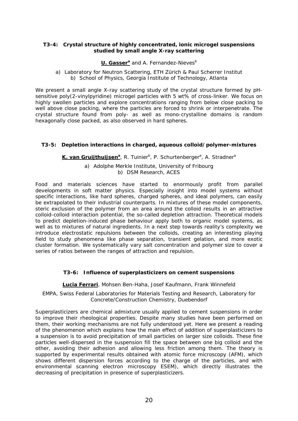## **T3-4: Crystal structure of highly concentrated, ionic microgel suspensions studied by small angle X-ray scattering**

## **U. Gasser**<sup>a</sup> and A. Fernandez-Nieves<sup>b</sup>

a) Laboratory for Neutron Scattering, ETH Zürich & Paul Scherrer Institut b) School of Physics, Georgia Institute of Technology, Atlanta

We present a small angle X-ray scattering study of the crystal structure formed by pHsensitive poly(2-vinylpyridine) microgel particles with 5 wt% of cross-linker. We focus on highly swollen particles and explore concentrations ranging from below close packing to well above close packing, where the particles are forced to shrink or interpenetrate. The crystal structure found from poly- as well as mono-crystalline domains is random hexagonally close packed, as also observed in hard spheres.

## **T3-5: Depletion interactions in charged, aqueous colloid/polymer-mixtures**

## K. van Gruijthuijsen<sup>a</sup>, R. Tuinier<sup>b</sup>, P. Schurtenberger<sup>a</sup>, A. Stradner<sup>a</sup>

a) Adolphe Merkle Institute, University of Fribourg b) DSM Research, ACES

Food and materials sciences have started to enormously profit from parallel developments in soft matter physics. Especially insight into model systems without specific interactions, like hard spheres, charged spheres, and ideal polymers, can easily be extrapolated to their industrial counterparts. In mixtures of these model components, steric exclusion of the polymer from an area around the colloid results in an attractive colloid-colloid interaction potential, the so-called depletion attraction. Theoretical models to predict depletion-induced phase behaviour apply both to organic model systems, as well as to mixtures of natural ingredients. In a next step towards reality's complexity we introduce electrostatic repulsions between the colloids, creating an interesting playing field to study phenomena like phase separation, transient gelation, and more exotic cluster formation. We systematically vary salt concentration and polymer size to cover a series of ratios between the ranges of attraction and repulsion.

## **T3-6: Influence of superplasticizers on cement suspensions**

## **Lucia Ferrari**, Mohsen Ben-Haha, Josef Kaufmann, Frank Winnefeld

## EMPA, Swiss Federal Laboratories for Materials Testing and Research, Laboratory for Concrete/Construction Chemistry, Duebendorf

Superplasticizers are chemical admixture usually applied to cement suspensions in order to improve their rheological properties. Despite many studies have been performed on them, their working mechanisms are not fully understood yet. Here we present a reading of the phenomenon which explains how the main effect of addition of superplasticizers to a suspension is to avoid precipitation of small particles on larger size colloids. These fine particles well-dispersed in the suspension fill the space between one big colloid and the other, avoiding their adhesion and allowing less friction among them. The theory is supported by experimental results obtained with atomic force microscopy (AFM), which shows different dispersion forces according to the charge of the particles, and with environmental scanning electron microscopy ESEM), which directly illustrates the decreasing of precipitation in presence of superplasticizers.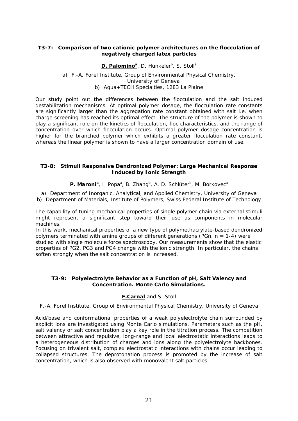## **T3-7: Comparison of two cationic polymer architectures on the flocculation of negatively charged latex particles**

## **D. Palomino**<sup>a</sup>, D. Hunkeler<sup>b</sup>, S. Stoll<sup>a</sup>

## a) F.-A. Forel Institute, Group of Environmental Physical Chemistry, University of Geneva b) Aqua+TECH Specialties, 1283 La Plaine

Our study point out the differences between the flocculation and the salt induced destabilization mechanisms. At optimal polymer dosage, the flocculation rate constants are significantly larger than the aggregation rate constant obtained with salt i.e. when charge screening has reached its optimal effect. The structure of the polymer is shown to play a significant role on the kinetics of flocculation, floc characteristics, and the range of concentration over which flocculation occurs. Optimal polymer dosage concentration is higher for the branched polymer which exhibits a greater flocculation rate constant, whereas the linear polymer is shown to have a larger concentration domain of use.

## **T3-8: Stimuli Responsive Dendronized Polymer: Large Mechanical Response Induced by Ionic Strength**

P. Maroni<sup>a</sup>, I. Popa<sup>a</sup>, B. Zhang<sup>b</sup>, A. D. Schlüter<sup>b</sup>, M. Borkovec<sup>a</sup>

a) Department of Inorganic, Analytical, and Applied Chemistry, University of Geneva b) Department of Materials, Institute of Polymers, Swiss Federal Institute of Technology

The capability of tuning mechanical properties of single polymer chain via external stimuli might represent a significant step toward their use as components in molecular machines.

In this work, mechanical properties of a new type of polymethacrylate-based dendronized polymers terminated with amine groups of different generations (PGn,  $n = 1-4$ ) were studied with single molecule force spectroscopy. Our measurements show that the elastic properties of PG2, PG3 and PG4 change with the ionic strength. In particular, the chains soften strongly when the salt concentration is increased.

## **T3-9: Polyelectrolyte Behavior as a Function of pH, Salt Valency and Concentration. Monte Carlo Simulations.**

## **F.Carnal** and S. Stoll

F.-A. Forel Institute, Group of Environmental Physical Chemistry, University of Geneva

Acid/base and conformational properties of a weak polyelectrolyte chain surrounded by explicit ions are investigated using Monte Carlo simulations. Parameters such as the pH, salt valency or salt concentration play a key role in the titration process. The competition between attractive and repulsive, long-range and local electrostatic interactions leads to a heterogeneous distribution of charges and ions along the polyelectrolyte backbones. Focusing on trivalent salt, complex electrostatic interactions with chains occur leading to collapsed structures. The deprotonation process is promoted by the increase of salt concentration, which is also observed with monovalent salt particles.